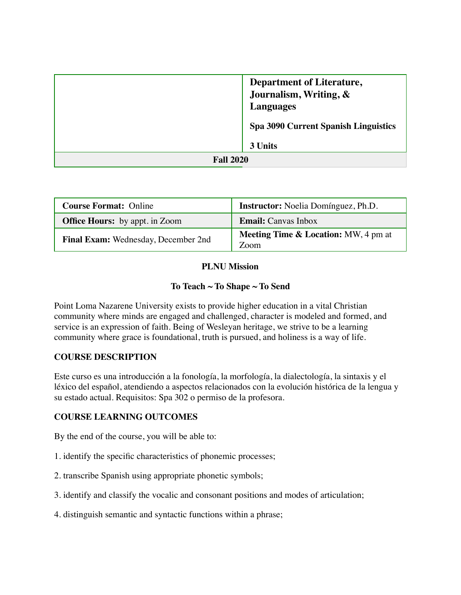|                  | <b>Department of Literature,</b><br>Journalism, Writing, &<br><b>Languages</b> |
|------------------|--------------------------------------------------------------------------------|
|                  | <b>Spa 3090 Current Spanish Linguistics</b>                                    |
|                  | 3 Units                                                                        |
| <b>Fall 2020</b> |                                                                                |

| <b>Course Format: Online</b>          | <b>Instructor:</b> Noelia Domínguez, Ph.D.              |  |
|---------------------------------------|---------------------------------------------------------|--|
| <b>Office Hours:</b> by appt. in Zoom | <b>Email:</b> Canvas Inbox                              |  |
| Final Exam: Wednesday, December 2nd   | <b>Meeting Time &amp; Location:</b> MW, 4 pm at<br>Zoom |  |

### **PLNU Mission**

### **To Teach ~ To Shape ~ To Send**

Point Loma Nazarene University exists to provide higher education in a vital Christian community where minds are engaged and challenged, character is modeled and formed, and service is an expression of faith. Being of Wesleyan heritage, we strive to be a learning community where grace is foundational, truth is pursued, and holiness is a way of life.

# **COURSE DESCRIPTION**

Este curso es una introducción a la fonología, la morfología, la dialectología, la sintaxis y el léxico del español, atendiendo a aspectos relacionados con la evolución histórica de la lengua y su estado actual. Requisitos: Spa 302 o permiso de la profesora.

#### **COURSE LEARNING OUTCOMES**

By the end of the course, you will be able to:

- 1. identify the specific characteristics of phonemic processes;
- 2. transcribe Spanish using appropriate phonetic symbols;
- 3. identify and classify the vocalic and consonant positions and modes of articulation;
- 4. distinguish semantic and syntactic functions within a phrase;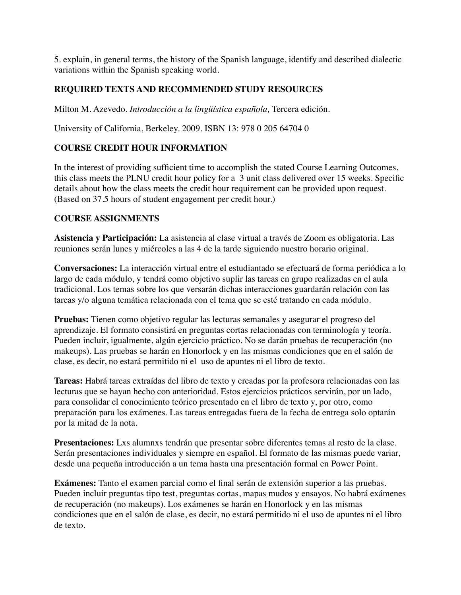5. explain, in general terms, the history of the Spanish language, identify and described dialectic variations within the Spanish speaking world.

### **REQUIRED TEXTS AND RECOMMENDED STUDY RESOURCES**

Milton M. Azevedo. *Introducción a la lingüística española,* Tercera edición.

University of California, Berkeley. 2009. ISBN 13: 978 0 205 64704 0

#### **COURSE CREDIT HOUR INFORMATION**

In the interest of providing sufficient time to accomplish the stated Course Learning Outcomes, this class meets the PLNU credit hour policy for a 3 unit class delivered over 15 weeks. Specific details about how the class meets the credit hour requirement can be provided upon request. (Based on 37.5 hours of student engagement per credit hour.)

#### **COURSE ASSIGNMENTS**

**Asistencia y Participación:** La asistencia al clase virtual a través de Zoom es obligatoria. Las reuniones serán lunes y miércoles a las 4 de la tarde siguiendo nuestro horario original.

**Conversaciones:** La interacción virtual entre el estudiantado se efectuará de forma periódica a lo largo de cada módulo, y tendrá como objetivo suplir las tareas en grupo realizadas en el aula tradicional. Los temas sobre los que versarán dichas interacciones guardarán relación con las tareas y/o alguna temática relacionada con el tema que se esté tratando en cada módulo.

**Pruebas:** Tienen como objetivo regular las lecturas semanales y asegurar el progreso del aprendizaje. El formato consistirá en preguntas cortas relacionadas con terminología y teoría. Pueden incluir, igualmente, algún ejercicio práctico. No se darán pruebas de recuperación (no makeups). Las pruebas se harán en Honorlock y en las mismas condiciones que en el salón de clase, es decir, no estará permitido ni el uso de apuntes ni el libro de texto.

**Tareas:** Habrá tareas extraídas del libro de texto y creadas por la profesora relacionadas con las lecturas que se hayan hecho con anterioridad. Estos ejercicios prácticos servirán, por un lado, para consolidar el conocimiento teórico presentado en el libro de texto y, por otro, como preparación para los exámenes. Las tareas entregadas fuera de la fecha de entrega solo optarán por la mitad de la nota.

**Presentaciones:** Lxs alumnxs tendrán que presentar sobre diferentes temas al resto de la clase. Serán presentaciones individuales y siempre en español. El formato de las mismas puede variar, desde una pequeña introducción a un tema hasta una presentación formal en Power Point.

**Exámenes:** Tanto el examen parcial como el final serán de extensión superior a las pruebas. Pueden incluir preguntas tipo test, preguntas cortas, mapas mudos y ensayos. No habrá exámenes de recuperación (no makeups). Los exámenes se harán en Honorlock y en las mismas condiciones que en el salón de clase, es decir, no estará permitido ni el uso de apuntes ni el libro de texto.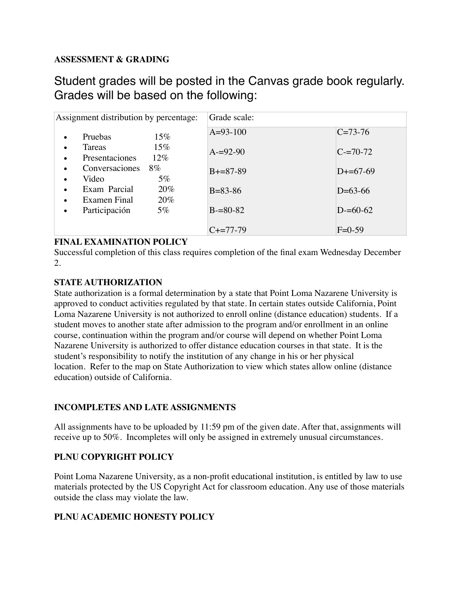## **ASSESSMENT & GRADING**

# Student grades will be posted in the Canvas grade book regularly. Grades will be based on the following:

| Assignment distribution by percentage:                                 | Grade scale:    |               |
|------------------------------------------------------------------------|-----------------|---------------|
| $15\%$<br>Pruebas<br>$\bullet$                                         | $A=93-100$      | $C = 73-76$   |
| $15\%$<br>Tareas<br>$\bullet$<br>$12\%$<br>Presentaciones<br>$\bullet$ | $A = 92 - 90$   | $C = 70 - 72$ |
| Conversaciones<br>$8\%$<br>$\bullet$                                   | $B + = 87 - 89$ | $D+=67-69$    |
| $5\%$<br>Video<br>$\bullet$<br>Exam Parcial<br>20%<br>$\bullet$        | $B = 83 - 86$   | $D=63-66$     |
| 20%<br>Examen Final<br>$\bullet$                                       |                 |               |
| Participación<br>$5\%$<br>٠                                            | $B = 80 - 82$   | $D = 60 - 62$ |
|                                                                        | $C+=77-79$      | $F=0-59$      |

#### **FINAL EXAMINATION POLICY**

Successful completion of this class requires completion of the final exam Wednesday December 2.

#### **STATE AUTHORIZATION**

State authorization is a formal determination by a state that Point Loma Nazarene University is approved to conduct activities regulated by that state. In certain states outside California, Point Loma Nazarene University is not authorized to enroll online (distance education) students. If a student moves to another state after admission to the program and/or enrollment in an online course, continuation within the program and/or course will depend on whether Point Loma Nazarene University is authorized to offer distance education courses in that state. It is the student's responsibility to notify the institution of any change in his or her physical location. Refer to the map on State Authorization to view which states allow online (distance education) outside of California.

# **INCOMPLETES AND LATE ASSIGNMENTS**

All assignments have to be uploaded by 11:59 pm of the given date. After that, assignments will receive up to 50%. Incompletes will only be assigned in extremely unusual circumstances.

# **PLNU COPYRIGHT POLICY**

Point Loma Nazarene University, as a non-profit educational institution, is entitled by law to use materials protected by the US Copyright Act for classroom education. Any use of those materials outside the class may violate the law.

# **PLNU ACADEMIC HONESTY POLICY**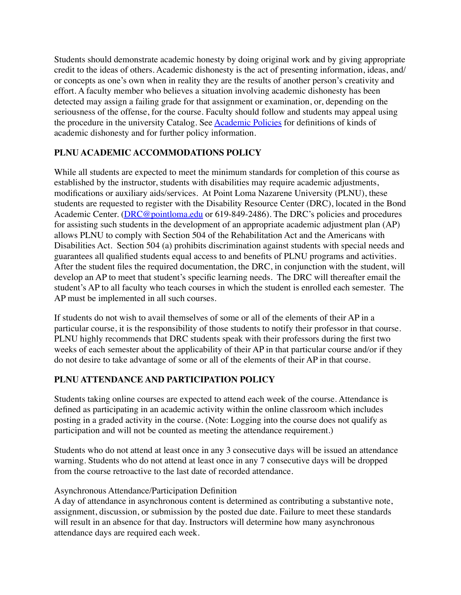Students should demonstrate academic honesty by doing original work and by giving appropriate credit to the ideas of others. Academic dishonesty is the act of presenting information, ideas, and/ or concepts as one's own when in reality they are the results of another person's creativity and effort. A faculty member who believes a situation involving academic dishonesty has been detected may assign a failing grade for that assignment or examination, or, depending on the seriousness of the offense, for the course. Faculty should follow and students may appeal using the procedure in the university Catalog. See [Academic Policies](http://catalog.pointloma.edu/content.php?catoid=18&navoid=1278) for definitions of kinds of academic dishonesty and for further policy information.

# **PLNU ACADEMIC ACCOMMODATIONS POLICY**

While all students are expected to meet the minimum standards for completion of this course as established by the instructor, students with disabilities may require academic adjustments, modifications or auxiliary aids/services. At Point Loma Nazarene University (PLNU), these students are requested to register with the Disability Resource Center (DRC), located in the Bond Academic Center. ([DRC@pointloma.edu](mailto:DRC@pointloma.edu) or 619-849-2486). The DRC's policies and procedures for assisting such students in the development of an appropriate academic adjustment plan (AP) allows PLNU to comply with Section 504 of the Rehabilitation Act and the Americans with Disabilities Act. Section 504 (a) prohibits discrimination against students with special needs and guarantees all qualified students equal access to and benefits of PLNU programs and activities. After the student files the required documentation, the DRC, in conjunction with the student, will develop an AP to meet that student's specific learning needs. The DRC will thereafter email the student's AP to all faculty who teach courses in which the student is enrolled each semester. The AP must be implemented in all such courses.

If students do not wish to avail themselves of some or all of the elements of their AP in a particular course, it is the responsibility of those students to notify their professor in that course. PLNU highly recommends that DRC students speak with their professors during the first two weeks of each semester about the applicability of their AP in that particular course and/or if they do not desire to take advantage of some or all of the elements of their AP in that course.

# **PLNU ATTENDANCE AND PARTICIPATION POLICY**

Students taking online courses are expected to attend each week of the course. Attendance is defined as participating in an academic activity within the online classroom which includes posting in a graded activity in the course. (Note: Logging into the course does not qualify as participation and will not be counted as meeting the attendance requirement.)

Students who do not attend at least once in any 3 consecutive days will be issued an attendance warning. Students who do not attend at least once in any 7 consecutive days will be dropped from the course retroactive to the last date of recorded attendance.

# Asynchronous Attendance/Participation Definition

A day of attendance in asynchronous content is determined as contributing a substantive note, assignment, discussion, or submission by the posted due date. Failure to meet these standards will result in an absence for that day. Instructors will determine how many asynchronous attendance days are required each week.